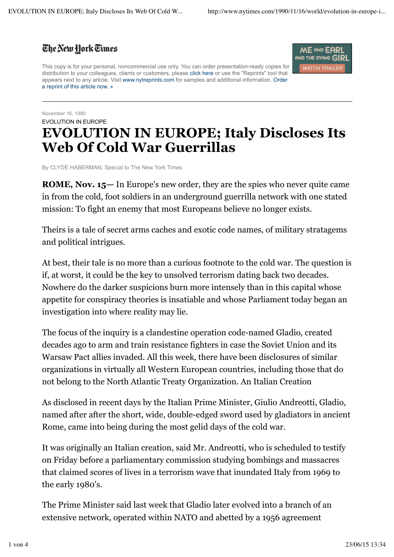

This copy is for your personal, noncommercial use only. You can order presentation-ready copies for distribution to your colleagues, clients or customers, please click here or use the "Reprints" tool that appears next to any article. Visit www.nytreprints.com for samples and additional information. Order a reprint of this article now. »



## November 16, 1990 EVOLUTION IN EUROPE **EVOLUTION IN EUROPE; Italy Discloses Its Web Of Cold War Guerrillas**

By CLYDE HABERMAN, Special to The New York Times

**ROME, Nov. 15—** In Europe's new order, they are the spies who never quite came in from the cold, foot soldiers in an underground guerrilla network with one stated mission: To fight an enemy that most Europeans believe no longer exists.

Theirs is a tale of secret arms caches and exotic code names, of military stratagems and political intrigues.

At best, their tale is no more than a curious footnote to the cold war. The question is if, at worst, it could be the key to unsolved terrorism dating back two decades. Nowhere do the darker suspicions burn more intensely than in this capital whose appetite for conspiracy theories is insatiable and whose Parliament today began an investigation into where reality may lie.

The focus of the inquiry is a clandestine operation code-named Gladio, created decades ago to arm and train resistance fighters in case the Soviet Union and its Warsaw Pact allies invaded. All this week, there have been disclosures of similar organizations in virtually all Western European countries, including those that do not belong to the North Atlantic Treaty Organization. An Italian Creation

As disclosed in recent days by the Italian Prime Minister, Giulio Andreotti, Gladio, named after after the short, wide, double-edged sword used by gladiators in ancient Rome, came into being during the most gelid days of the cold war.

It was originally an Italian creation, said Mr. Andreotti, who is scheduled to testify on Friday before a parliamentary commission studying bombings and massacres that claimed scores of lives in a terrorism wave that inundated Italy from 1969 to the early 1980's.

The Prime Minister said last week that Gladio later evolved into a branch of an extensive network, operated within NATO and abetted by a 1956 agreement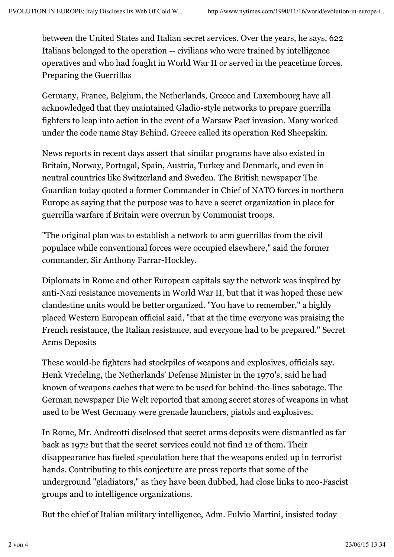between the United States and Italian secret services. Over the years, he says, 622 Italians belonged to the operation -- civilians who were trained by intelligence operatives and who had fought in World War II or served in the peacetime forces. Preparing the Guerrillas

Germany, France, Belgium, the Netherlands, Greece and Luxembourg have all acknowledged that they maintained Gladio-style networks to prepare guerrilla fighters to leap into action in the event of a Warsaw Pact invasion. Many worked under the code name Stay Behind. Greece called its operation Red Sheepskin.

News reports in recent days assert that similar programs have also existed in Britain, Norway, Portugal, Spain, Austria, Turkey and Denmark, and even in neutral countries like Switzerland and Sweden. The British newspaper The Guardian today quoted a former Commander in Chief of NATO forces in northern Europe as saying that the purpose was to have a secret organization in place for guerrilla warfare if Britain were overrun by Communist troops.

"The original plan was to establish a network to arm guerrillas from the civil populace while conventional forces were occupied elsewhere," said the former commander, Sir Anthony Farrar-Hockley.

Diplomats in Rome and other European capitals say the network was inspired by anti-Nazi resistance movements in World War II, but that it was hoped these new clandestine units would be better organized. "You have to remember," a highly placed Western European official said, "that at the time everyone was praising the French resistance, the Italian resistance, and everyone had to be prepared." Secret Arms Deposits

These would-be fighters had stockpiles of weapons and explosives, officials say. Henk Vredeling, the Netherlands' Defense Minister in the 1970's, said he had known of weapons caches that were to be used for behind-the-lines sabotage. The German newspaper Die Welt reported that among secret stores of weapons in what used to be West Germany were grenade launchers, pistols and explosives.

In Rome, Mr. Andreotti disclosed that secret arms deposits were dismantled as far back as 1972 but that the secret services could not find 12 of them. Their disappearance has fueled speculation here that the weapons ended up in terrorist hands. Contributing to this conjecture are press reports that some of the underground "gladiators," as they have been dubbed, had close links to neo-Fascist groups and to intelligence organizations.

But the chief of Italian military intelligence, Adm. Fulvio Martini, insisted today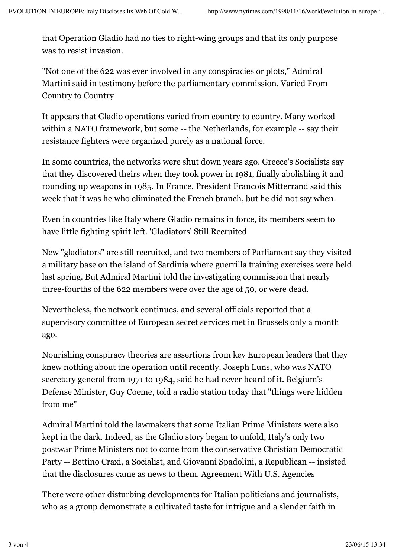that Operation Gladio had no ties to right-wing groups and that its only purpose was to resist invasion.

"Not one of the 622 was ever involved in any conspiracies or plots," Admiral Martini said in testimony before the parliamentary commission. Varied From Country to Country

It appears that Gladio operations varied from country to country. Many worked within a NATO framework, but some -- the Netherlands, for example -- say their resistance fighters were organized purely as a national force.

In some countries, the networks were shut down years ago. Greece's Socialists say that they discovered theirs when they took power in 1981, finally abolishing it and rounding up weapons in 1985. In France, President Francois Mitterrand said this week that it was he who eliminated the French branch, but he did not say when.

Even in countries like Italy where Gladio remains in force, its members seem to have little fighting spirit left. 'Gladiators' Still Recruited

New "gladiators" are still recruited, and two members of Parliament say they visited a military base on the island of Sardinia where guerrilla training exercises were held last spring. But Admiral Martini told the investigating commission that nearly three-fourths of the 622 members were over the age of 50, or were dead.

Nevertheless, the network continues, and several officials reported that a supervisory committee of European secret services met in Brussels only a month ago.

Nourishing conspiracy theories are assertions from key European leaders that they knew nothing about the operation until recently. Joseph Luns, who was NATO secretary general from 1971 to 1984, said he had never heard of it. Belgium's Defense Minister, Guy Coeme, told a radio station today that "things were hidden from me"

Admiral Martini told the lawmakers that some Italian Prime Ministers were also kept in the dark. Indeed, as the Gladio story began to unfold, Italy's only two postwar Prime Ministers not to come from the conservative Christian Democratic Party -- Bettino Craxi, a Socialist, and Giovanni Spadolini, a Republican -- insisted that the disclosures came as news to them. Agreement With U.S. Agencies

There were other disturbing developments for Italian politicians and journalists, who as a group demonstrate a cultivated taste for intrigue and a slender faith in